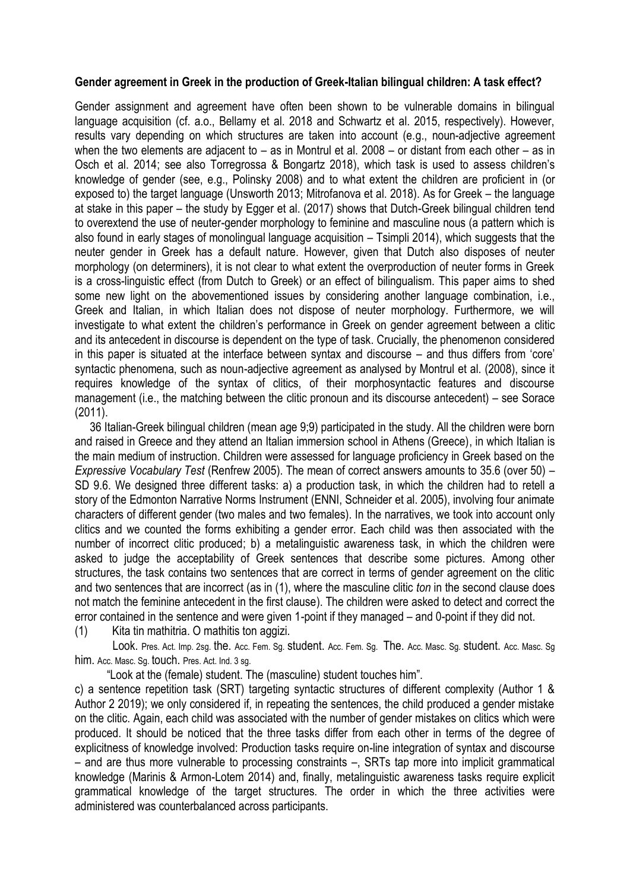## **Gender agreement in Greek in the production of Greek-Italian bilingual children: A task effect?**

Gender assignment and agreement have often been shown to be vulnerable domains in bilingual language acquisition (cf. a.o., Bellamy et al. 2018 and Schwartz et al. 2015, respectively). However, results vary depending on which structures are taken into account (e.g., noun-adjective agreement when the two elements are adjacent to – as in Montrul et al. 2008 – or distant from each other – as in Osch et al. 2014; see also Torregrossa & Bongartz 2018), which task is used to assess children"s knowledge of gender (see, e.g., Polinsky 2008) and to what extent the children are proficient in (or exposed to) the target language (Unsworth 2013; Mitrofanova et al. 2018). As for Greek – the language at stake in this paper – the study by Egger et al. (2017) shows that Dutch-Greek bilingual children tend to overextend the use of neuter-gender morphology to feminine and masculine nous (a pattern which is also found in early stages of monolingual language acquisition – Tsimpli 2014), which suggests that the neuter gender in Greek has a default nature. However, given that Dutch also disposes of neuter morphology (on determiners), it is not clear to what extent the overproduction of neuter forms in Greek is a cross-linguistic effect (from Dutch to Greek) or an effect of bilingualism. This paper aims to shed some new light on the abovementioned issues by considering another language combination, i.e., Greek and Italian, in which Italian does not dispose of neuter morphology. Furthermore, we will investigate to what extent the children's performance in Greek on gender agreement between a clitic and its antecedent in discourse is dependent on the type of task. Crucially, the phenomenon considered in this paper is situated at the interface between syntax and discourse – and thus differs from "core" syntactic phenomena, such as noun-adjective agreement as analysed by Montrul et al. (2008), since it requires knowledge of the syntax of clitics, of their morphosyntactic features and discourse management (i.e., the matching between the clitic pronoun and its discourse antecedent) – see Sorace (2011).

36 Italian-Greek bilingual children (mean age 9;9) participated in the study. All the children were born and raised in Greece and they attend an Italian immersion school in Athens (Greece), in which Italian is the main medium of instruction. Children were assessed for language proficiency in Greek based on the *Expressive Vocabulary Test* (Renfrew 2005). The mean of correct answers amounts to 35.6 (over 50) – SD 9.6. We designed three different tasks: a) a production task, in which the children had to retell a story of the Edmonton Narrative Norms Instrument (ENNI, Schneider et al. 2005), involving four animate characters of different gender (two males and two females). In the narratives, we took into account only clitics and we counted the forms exhibiting a gender error. Each child was then associated with the number of incorrect clitic produced; b) a metalinguistic awareness task, in which the children were asked to judge the acceptability of Greek sentences that describe some pictures. Among other structures, the task contains two sentences that are correct in terms of gender agreement on the clitic and two sentences that are incorrect (as in (1), where the masculine clitic *ton* in the second clause does not match the feminine antecedent in the first clause). The children were asked to detect and correct the error contained in the sentence and were given 1-point if they managed – and 0-point if they did not.

(1) Κita tin mathitria. O mathitis ton aggizi.

 Look. Pres. Act. Imp. 2sg. the. Acc. Fem. Sg. student. Acc. Fem. Sg. The. Acc. Masc. Sg. student. Acc. Masc. Sg him. Acc. Masc. Sg. touch. Pres. Act. Ind. 3 sg.

"Look at the (female) student. The (masculine) student touches him".

c) a sentence repetition task (SRT) targeting syntactic structures of different complexity (Author 1 & Author 2 2019); we only considered if, in repeating the sentences, the child produced a gender mistake on the clitic. Again, each child was associated with the number of gender mistakes on clitics which were produced. It should be noticed that the three tasks differ from each other in terms of the degree of explicitness of knowledge involved: Production tasks require on-line integration of syntax and discourse – and are thus more vulnerable to processing constraints –, SRTs tap more into implicit grammatical knowledge (Marinis & Armon-Lotem 2014) and, finally, metalinguistic awareness tasks require explicit grammatical knowledge of the target structures. The order in which the three activities were administered was counterbalanced across participants.